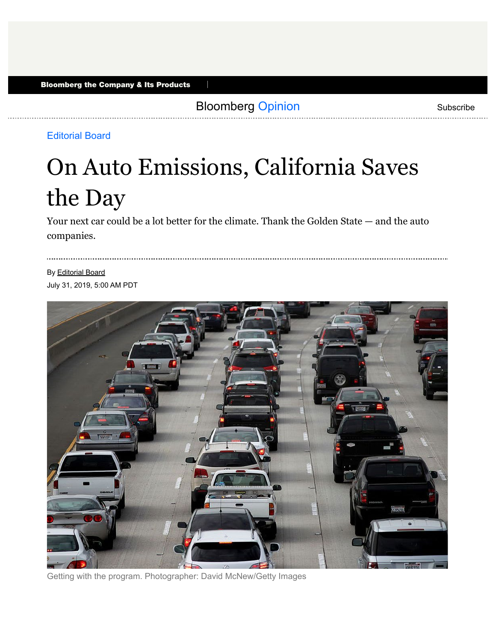Bloomberg Opinion **Bloomberg Opinion** Subscribe

П

### Editorial Board

# On Auto Emissions, California Saves the Day

Your next car could be a lot better for the climate. Thank the Golden State — and the auto companies.

By Editorial Board July 31, 2019, 5:00 AM PDT



Getting with the program. Photographer: David McNew/Getty Images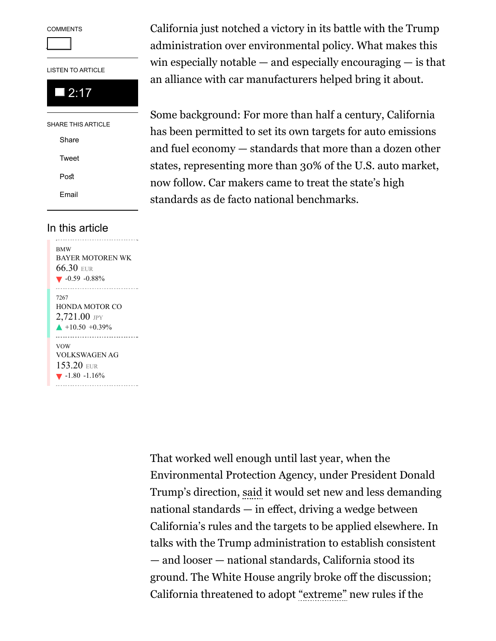**COMMENTS** 

8

LISTEN TO ARTICLE

## 2:17

SHARE THIS ARTICLE Share Tweet **Post** Email

#### In this article

BMW BAYER MOTOREN WK 66.30 EUR  $\blacktriangledown$  -0.59 -0.88% 7267 HONDA MOTOR CO  $2,721.00$  JPY  $+10.50 +0.39%$ VOW VOLKSWAGEN AG 153.20 EUR  $\blacktriangledown$  -1.80 -1.16% ----------------------------------

California just notched a victory in its battle with the Trump administration over environmental policy. What makes this win especially notable  $-$  and especially encouraging  $-$  is that an alliance with car manufacturers helped bring it about.

Some background: For more than half a century, California has been permitted to set its own targets for auto emissions and fuel economy — standards that more than a dozen other states, representing more than 30% of the U.S. auto market, now follow. Car makers came to treat the state's high standards as de facto national benchmarks.

That worked well enough until last year, when the Environmental Protection Agency, under President Donald Trump's direction, said it would set new and less demanding national standards — in efect, driving a wedge between California's rules and the targets to be applied elsewhere. In talks with the Trump administration to establish consistent — and looser — national standards, California stood its ground. The White House angrily broke off the discussion; California threatened to adopt "extreme" new rules if the